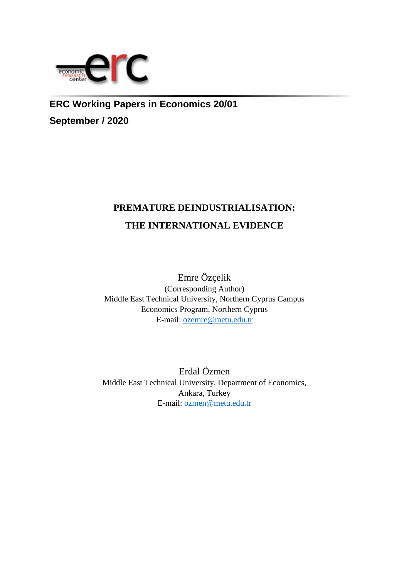

**ERC Working Papers in Economics 20/01 September / 2020**

# **PREMATURE DEINDUSTRIALISATION: THE INTERNATIONAL EVIDENCE**

Emre Özçelik (Corresponding Author) Middle East Technical University, Northern Cyprus Campus Economics Program, Northern Cyprus E-mail: [ozemre@metu.edu.tr](mailto:ozemre@metu.edu.tr)

Erdal Özmen Middle East Technical University, Department of Economics, Ankara, Turkey E-mail: [ozmen@metu.edu.tr](mailto:ozmen@metu.edu.tr)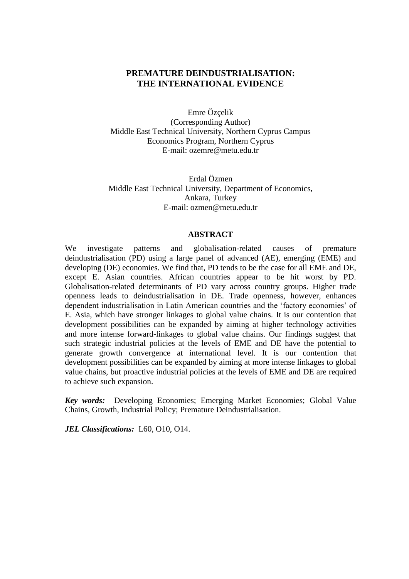## **PREMATURE DEINDUSTRIALISATION: THE INTERNATIONAL EVIDENCE**

Emre Özçelik (Corresponding Author) Middle East Technical University, Northern Cyprus Campus Economics Program, Northern Cyprus E-mail: ozemre@metu.edu.tr

Erdal Özmen Middle East Technical University, Department of Economics, Ankara, Turkey E-mail: ozmen@metu.edu.tr

#### **ABSTRACT**

We investigate patterns and globalisation-related causes of premature deindustrialisation (PD) using a large panel of advanced (AE), emerging (EME) and developing (DE) economies. We find that, PD tends to be the case for all EME and DE, except E. Asian countries. African countries appear to be hit worst by PD. Globalisation-related determinants of PD vary across country groups. Higher trade openness leads to deindustrialisation in DE. Trade openness, however, enhances dependent industrialisation in Latin American countries and the 'factory economies' of E. Asia, which have stronger linkages to global value chains. It is our contention that development possibilities can be expanded by aiming at higher technology activities and more intense forward-linkages to global value chains. Our findings suggest that such strategic industrial policies at the levels of EME and DE have the potential to generate growth convergence at international level. It is our contention that development possibilities can be expanded by aiming at more intense linkages to global value chains, but proactive industrial policies at the levels of EME and DE are required to achieve such expansion.

*Key words:* Developing Economies; Emerging Market Economies; Global Value Chains, Growth, Industrial Policy; Premature Deindustrialisation.

*JEL Classifications:* L60, O10, O14.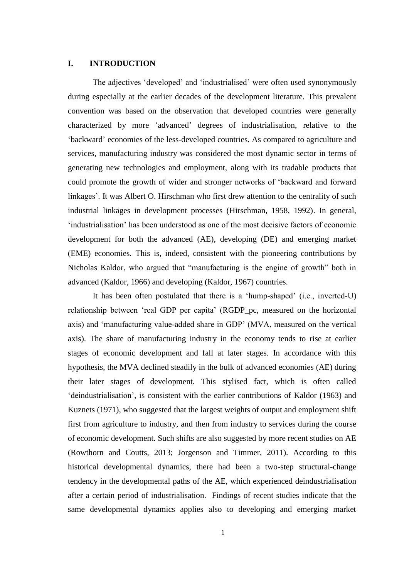## **I. INTRODUCTION**

The adjectives 'developed' and 'industrialised' were often used synonymously during especially at the earlier decades of the development literature. This prevalent convention was based on the observation that developed countries were generally characterized by more 'advanced' degrees of industrialisation, relative to the 'backward' economies of the less-developed countries. As compared to agriculture and services, manufacturing industry was considered the most dynamic sector in terms of generating new technologies and employment, along with its tradable products that could promote the growth of wider and stronger networks of 'backward and forward linkages'. It was Albert O. Hirschman who first drew attention to the centrality of such industrial linkages in development processes (Hirschman, 1958, 1992). In general, 'industrialisation' has been understood as one of the most decisive factors of economic development for both the advanced (AE), developing (DE) and emerging market (EME) economies. This is, indeed, consistent with the pioneering contributions by Nicholas Kaldor, who argued that "manufacturing is the engine of growth" both in advanced (Kaldor, 1966) and developing (Kaldor, 1967) countries.

It has been often postulated that there is a 'hump-shaped' (i.e., inverted-U) relationship between 'real GDP per capita' (RGDP\_pc, measured on the horizontal axis) and 'manufacturing value-added share in GDP' (MVA, measured on the vertical axis). The share of manufacturing industry in the economy tends to rise at earlier stages of economic development and fall at later stages. In accordance with this hypothesis, the MVA declined steadily in the bulk of advanced economies (AE) during their later stages of development. This stylised fact, which is often called 'deindustrialisation', is consistent with the earlier contributions of Kaldor (1963) and Kuznets (1971), who suggested that the largest weights of output and employment shift first from agriculture to industry, and then from industry to services during the course of economic development. Such shifts are also suggested by more recent studies on AE (Rowthorn and Coutts, 2013; Jorgenson and Timmer, 2011). According to this historical developmental dynamics, there had been a two-step structural-change tendency in the developmental paths of the AE, which experienced deindustrialisation after a certain period of industrialisation. Findings of recent studies indicate that the same developmental dynamics applies also to developing and emerging market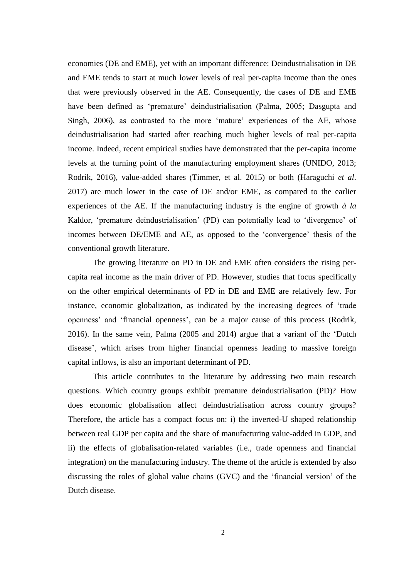economies (DE and EME), yet with an important difference: Deindustrialisation in DE and EME tends to start at much lower levels of real per-capita income than the ones that were previously observed in the AE. Consequently, the cases of DE and EME have been defined as 'premature' deindustrialisation (Palma, 2005; Dasgupta and Singh, 2006), as contrasted to the more 'mature' experiences of the AE, whose deindustrialisation had started after reaching much higher levels of real per-capita income. Indeed, recent empirical studies have demonstrated that the per-capita income levels at the turning point of the manufacturing employment shares (UNIDO, 2013; Rodrik, 2016), value-added shares (Timmer, et al. 2015) or both (Haraguchi *et al*. 2017) are much lower in the case of DE and/or EME, as compared to the earlier experiences of the AE. If the manufacturing industry is the engine of growth *à la* Kaldor, 'premature deindustrialisation' (PD) can potentially lead to 'divergence' of incomes between DE/EME and AE, as opposed to the 'convergence' thesis of the conventional growth literature.

The growing literature on PD in DE and EME often considers the rising percapita real income as the main driver of PD. However, studies that focus specifically on the other empirical determinants of PD in DE and EME are relatively few. For instance, economic globalization, as indicated by the increasing degrees of 'trade openness' and 'financial openness', can be a major cause of this process (Rodrik, 2016). In the same vein, Palma (2005 and 2014) argue that a variant of the 'Dutch disease', which arises from higher financial openness leading to massive foreign capital inflows, is also an important determinant of PD.

This article contributes to the literature by addressing two main research questions. Which country groups exhibit premature deindustrialisation (PD)? How does economic globalisation affect deindustrialisation across country groups? Therefore, the article has a compact focus on: i) the inverted-U shaped relationship between real GDP per capita and the share of manufacturing value-added in GDP, and ii) the effects of globalisation-related variables (i.e., trade openness and financial integration) on the manufacturing industry. The theme of the article is extended by also discussing the roles of global value chains (GVC) and the 'financial version' of the Dutch disease.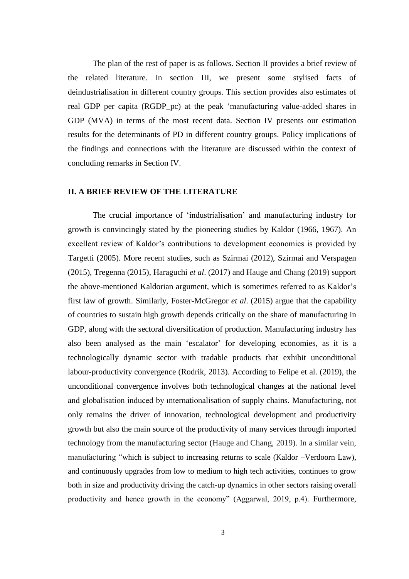The plan of the rest of paper is as follows. Section II provides a brief review of the related literature. In section III, we present some stylised facts of deindustrialisation in different country groups. This section provides also estimates of real GDP per capita (RGDP\_pc) at the peak 'manufacturing value-added shares in GDP (MVA) in terms of the most recent data. Section IV presents our estimation results for the determinants of PD in different country groups. Policy implications of the findings and connections with the literature are discussed within the context of concluding remarks in Section IV.

## **II. A BRIEF REVIEW OF THE LITERATURE**

The crucial importance of 'industrialisation' and manufacturing industry for growth is convincingly stated by the pioneering studies by Kaldor (1966, 1967). An excellent review of Kaldor's contributions to development economics is provided by Targetti (2005). More recent studies, such as Szirmai (2012), Szirmai and Verspagen (2015), Tregenna (2015), Haraguchi *et al*. (2017) and Hauge and Chang (2019) support the above-mentioned Kaldorian argument, which is sometimes referred to as Kaldor's first law of growth. Similarly, Foster-McGregor *et al*. (2015) argue that the capability of countries to sustain high growth depends critically on the share of manufacturing in GDP, along with the sectoral diversification of production. Manufacturing industry has also been analysed as the main 'escalator' for developing economies, as it is a technologically dynamic sector with tradable products that exhibit unconditional labour-productivity convergence (Rodrik, 2013). According to Felipe et al. (2019), the unconditional convergence involves both technological changes at the national level and globalisation induced by ınternationalisation of supply chains. Manufacturing, not only remains the driver of innovation, technological development and productivity growth but also the main source of the productivity of many services through imported technology from the manufacturing sector (Hauge and Chang, 2019). In a similar vein, manufacturing "which is subject to increasing returns to scale (Kaldor –Verdoorn Law), and continuously upgrades from low to medium to high tech activities, continues to grow both in size and productivity driving the catch-up dynamics in other sectors raising overall productivity and hence growth in the economy" (Aggarwal, 2019, p.4). Furthermore,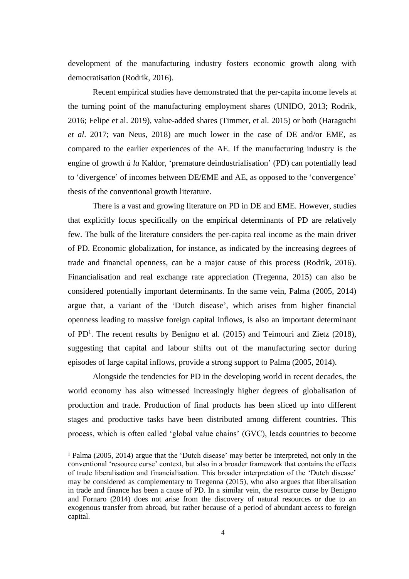development of the manufacturing industry fosters economic growth along with democratisation (Rodrik, 2016).

Recent empirical studies have demonstrated that the per-capita income levels at the turning point of the manufacturing employment shares (UNIDO, 2013; Rodrik, 2016; Felipe et al. 2019), value-added shares (Timmer, et al. 2015) or both (Haraguchi *et al*. 2017; van Neus, 2018) are much lower in the case of DE and/or EME, as compared to the earlier experiences of the AE. If the manufacturing industry is the engine of growth *à la* Kaldor, 'premature deindustrialisation' (PD) can potentially lead to 'divergence' of incomes between DE/EME and AE, as opposed to the 'convergence' thesis of the conventional growth literature.

There is a vast and growing literature on PD in DE and EME. However, studies that explicitly focus specifically on the empirical determinants of PD are relatively few. The bulk of the literature considers the per-capita real income as the main driver of PD. Economic globalization, for instance, as indicated by the increasing degrees of trade and financial openness, can be a major cause of this process (Rodrik, 2016). Financialisation and real exchange rate appreciation (Tregenna, 2015) can also be considered potentially important determinants. In the same vein, Palma (2005, 2014) argue that, a variant of the 'Dutch disease', which arises from higher financial openness leading to massive foreign capital inflows, is also an important determinant of PD<sup>1</sup>. The recent results by Benigno et al. (2015) and Teimouri and Zietz (2018), suggesting that capital and labour shifts out of the manufacturing sector during episodes of large capital inflows, provide a strong support to Palma (2005, 2014).

Alongside the tendencies for PD in the developing world in recent decades, the world economy has also witnessed increasingly higher degrees of globalisation of production and trade. Production of final products has been sliced up into different stages and productive tasks have been distributed among different countries. This process, which is often called 'global value chains' (GVC), leads countries to become

 $\overline{a}$ 

<sup>&</sup>lt;sup>1</sup> Palma (2005, 2014) argue that the 'Dutch disease' may better be interpreted, not only in the conventional 'resource curse' context, but also in a broader framework that contains the effects of trade liberalisation and financialisation. This broader interpretation of the 'Dutch disease' may be considered as complementary to Tregenna (2015), who also argues that liberalisation in trade and finance has been a cause of PD. In a similar vein, the resource curse by Benigno and Fornaro (2014) does not arise from the discovery of natural resources or due to an exogenous transfer from abroad, but rather because of a period of abundant access to foreign capital.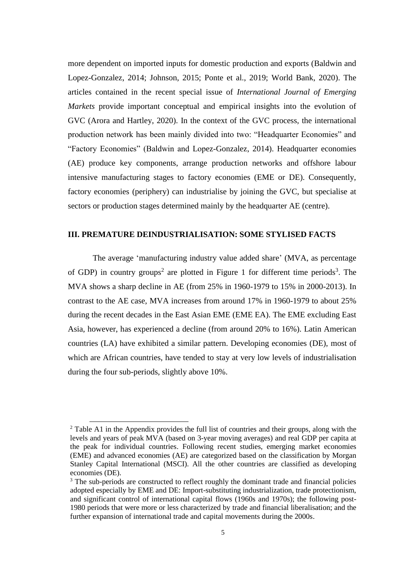more dependent on imported inputs for domestic production and exports (Baldwin and Lopez-Gonzalez, 2014; Johnson, 2015; Ponte et al., 2019; World Bank, 2020). The articles contained in the recent special issue of *International Journal of Emerging Markets* provide important conceptual and empirical insights into the evolution of GVC (Arora and Hartley, 2020). In the context of the GVC process, the international production network has been mainly divided into two: "Headquarter Economies" and "Factory Economies" (Baldwin and Lopez-Gonzalez, 2014). Headquarter economies (AE) produce key components, arrange production networks and offshore labour intensive manufacturing stages to factory economies (EME or DE). Consequently, factory economies (periphery) can industrialise by joining the GVC, but specialise at sectors or production stages determined mainly by the headquarter AE (centre).

## **III. PREMATURE DEINDUSTRIALISATION: SOME STYLISED FACTS**

The average 'manufacturing industry value added share' (MVA, as percentage of GDP) in country groups<sup>2</sup> are plotted in Figure 1 for different time periods<sup>3</sup>. The MVA shows a sharp decline in AE (from 25% in 1960-1979 to 15% in 2000-2013). In contrast to the AE case, MVA increases from around 17% in 1960-1979 to about 25% during the recent decades in the East Asian EME (EME EA). The EME excluding East Asia, however, has experienced a decline (from around 20% to 16%). Latin American countries (LA) have exhibited a similar pattern. Developing economies (DE), most of which are African countries, have tended to stay at very low levels of industrialisation during the four sub-periods, slightly above 10%.

1

<sup>&</sup>lt;sup>2</sup> Table A1 in the Appendix provides the full list of countries and their groups, along with the levels and years of peak MVA (based on 3-year moving averages) and real GDP per capita at the peak for individual countries. Following recent studies, emerging market economies (EME) and advanced economies (AE) are categorized based on the classification by Morgan Stanley Capital International (MSCI). All the other countries are classified as developing economies (DE).

<sup>&</sup>lt;sup>3</sup> The sub-periods are constructed to reflect roughly the dominant trade and financial policies adopted especially by EME and DE: Import-substituting industrialization, trade protectionism, and significant control of international capital flows (1960s and 1970s); the following post-1980 periods that were more or less characterized by trade and financial liberalisation; and the further expansion of international trade and capital movements during the 2000s.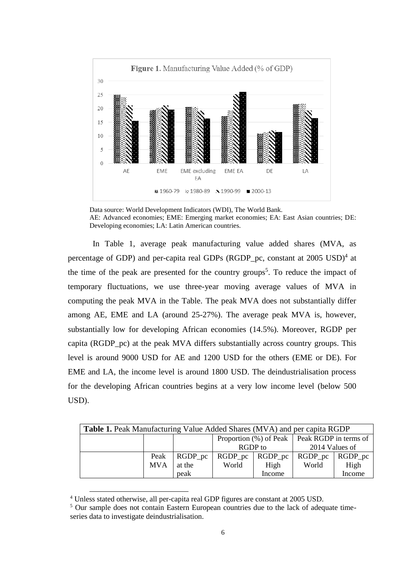

Data source: World Development Indicators (WDI), The World Bank. AE: Advanced economies; EME: Emerging market economies; EA: East Asian countries; DE: Developing economies; LA: Latin American countries.

In Table 1, average peak manufacturing value added shares (MVA, as percentage of GDP) and per-capita real GDPs (RGDP\_pc, constant at 2005 USD)<sup>4</sup> at the time of the peak are presented for the country groups<sup>5</sup>. To reduce the impact of temporary fluctuations, we use three-year moving average values of MVA in computing the peak MVA in the Table. The peak MVA does not substantially differ among AE, EME and LA (around 25-27%). The average peak MVA is, however, substantially low for developing African economies (14.5%). Moreover, RGDP per capita (RGDP\_pc) at the peak MVA differs substantially across country groups. This level is around 9000 USD for AE and 1200 USD for the others (EME or DE). For EME and LA, the income level is around 1800 USD. The deindustrialisation process for the developing African countries begins at a very low income level (below 500 USD).

| <b>Table 1.</b> Peak Manufacturing Value Added Shares (MVA) and per capita RGDP |            |            |                                                   |                       |                |             |  |  |
|---------------------------------------------------------------------------------|------------|------------|---------------------------------------------------|-----------------------|----------------|-------------|--|--|
|                                                                                 |            |            | Proportion $(\%)$ of Peak   Peak RGDP in terms of |                       |                |             |  |  |
|                                                                                 |            |            | RGDP to                                           |                       | 2014 Values of |             |  |  |
|                                                                                 | Peak       | $RGDP_p$ c |                                                   | $RGDP\_pc$ $RGDP\_pc$ | $RGDP\_pc$     | $RGDP_{pc}$ |  |  |
|                                                                                 | <b>MVA</b> | at the     | World                                             | High                  | World          | High        |  |  |
|                                                                                 |            | peak       |                                                   | Income                |                | Income      |  |  |

<sup>4</sup> Unless stated otherwise, all per-capita real GDP figures are constant at 2005 USD.

1

<sup>5</sup> Our sample does not contain Eastern European countries due to the lack of adequate timeseries data to investigate deindustrialisation.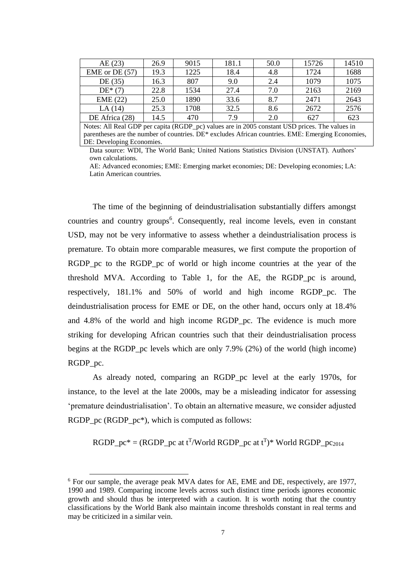| AE(23)           | 26.9 | 9015 | 181.1 | 50.0 | 15726 | 14510 |
|------------------|------|------|-------|------|-------|-------|
| EME or DE $(57)$ | 19.3 | 1225 | 18.4  | 4.8  | 1724  | 1688  |
| DE (35)          | 16.3 | 807  | 9.0   | 2.4  | 1079  | 1075  |
| $DE*(7)$         | 22.8 | 1534 | 27.4  | 7.0  | 2163  | 2169  |
| EME (22)         | 25.0 | 1890 | 33.6  | 8.7  | 2471  | 2643  |
| LA(14)           | 25.3 | 1708 | 32.5  | 8.6  | 2672  | 2576  |
| DE Africa (28)   | 14.5 | 470  | 7 Q   | 2.0  | 627   | 623   |

Notes: All Real GDP per capita (RGDP\_pc) values are in 2005 constant USD prices. The values in parentheses are the number of countries. DE\* excludes African countries. EME: Emerging Economies, DE: Developing Economies.

Data source: WDI, The World Bank; United Nations Statistics Division (UNSTAT). Authors' own calculations.

AE: Advanced economies; EME: Emerging market economies; DE: Developing economies; LA: Latin American countries.

The time of the beginning of deindustrialisation substantially differs amongst countries and country groups<sup>6</sup>. Consequently, real income levels, even in constant USD, may not be very informative to assess whether a deindustrialisation process is premature. To obtain more comparable measures, we first compute the proportion of RGDP<sub>pc</sub> to the RGDP<sub>pc</sub> of world or high income countries at the year of the threshold MVA. According to Table 1, for the AE, the RGDP\_pc is around, respectively, 181.1% and 50% of world and high income RGDP\_pc. The deindustrialisation process for EME or DE, on the other hand, occurs only at 18.4% and 4.8% of the world and high income RGDP\_pc. The evidence is much more striking for developing African countries such that their deindustrialisation process begins at the RGDP\_pc levels which are only 7.9% (2%) of the world (high income) RGDP\_pc.

As already noted, comparing an RGDP\_pc level at the early 1970s, for instance, to the level at the late 2000s, may be a misleading indicator for assessing 'premature deindustrialisation'. To obtain an alternative measure, we consider adjusted RGDP\_pc (RGDP\_pc<sup>\*</sup>), which is computed as follows:

RGDP\_pc<sup>\*</sup> = (RGDP\_pc at t<sup>T</sup>/World RGDP\_pc at t<sup>T</sup>)\* World RGDP\_pc<sub>2014</sub>

<sup>6</sup> For our sample, the average peak MVA dates for AE, EME and DE, respectively, are 1977, 1990 and 1989. Comparing income levels across such distinct time periods ignores economic growth and should thus be interpreted with a caution. It is worth noting that the country classifications by the World Bank also maintain income thresholds constant in real terms and may be criticized in a similar vein.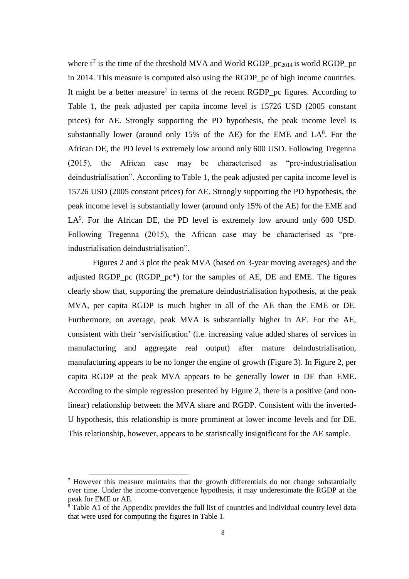where  $t^T$  is the time of the threshold MVA and World RGDP\_pc<sub>2014</sub> is world RGDP\_pc in 2014. This measure is computed also using the RGDP\_pc of high income countries. It might be a better measure<sup>7</sup> in terms of the recent RGDP\_pc figures. According to Table 1, the peak adjusted per capita income level is 15726 USD (2005 constant prices) for AE. Strongly supporting the PD hypothesis, the peak income level is substantially lower (around only  $15%$  of the AE) for the EME and  $LA<sup>8</sup>$ . For the African DE, the PD level is extremely low around only 600 USD. Following Tregenna (2015), the African case may be characterised as "pre-industrialisation deindustrialisation". According to Table 1, the peak adjusted per capita income level is 15726 USD (2005 constant prices) for AE. Strongly supporting the PD hypothesis, the peak income level is substantially lower (around only 15% of the AE) for the EME and LA<sup>9</sup>. For the African DE, the PD level is extremely low around only 600 USD. Following Tregenna (2015), the African case may be characterised as "preindustrialisation deindustrialisation".

Figures 2 and 3 plot the peak MVA (based on 3-year moving averages) and the adjusted RGDP pc (RGDP  $pc^*$ ) for the samples of AE, DE and EME. The figures clearly show that, supporting the premature deindustrialisation hypothesis, at the peak MVA, per capita RGDP is much higher in all of the AE than the EME or DE. Furthermore, on average, peak MVA is substantially higher in AE. For the AE, consistent with their 'servisification' (i.e. increasing value added shares of services in manufacturing and aggregate real output) after mature deindustrialisation, manufacturing appears to be no longer the engine of growth (Figure 3). In Figure 2, per capita RGDP at the peak MVA appears to be generally lower in DE than EME. According to the simple regression presented by Figure 2, there is a positive (and nonlinear) relationship between the MVA share and RGDP. Consistent with the inverted-U hypothesis, this relationship is more prominent at lower income levels and for DE. This relationship, however, appears to be statistically insignificant for the AE sample.

<sup>7</sup> However this measure maintains that the growth differentials do not change substantially over time. Under the income-convergence hypothesis, it may underestimate the RGDP at the peak for EME or AE.

 $\hat{\text{B}}$  Table A1 of the Appendix provides the full list of countries and individual country level data that were used for computing the figures in Table 1.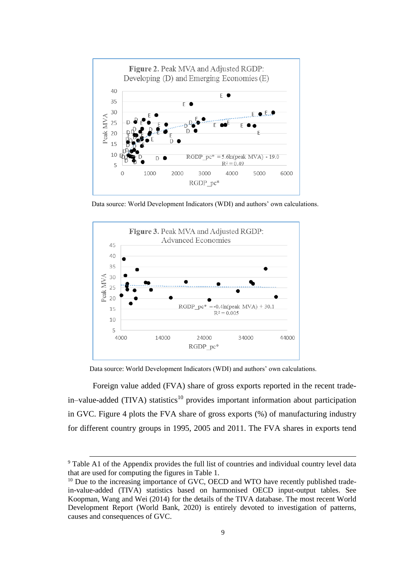

Data source: World Development Indicators (WDI) and authors' own calculations.



Data source: World Development Indicators (WDI) and authors' own calculations.

Foreign value added (FVA) share of gross exports reported in the recent trade $in$ -value-added (TIVA) statistics<sup>10</sup> provides important information about participation in GVC. Figure 4 plots the FVA share of gross exports (%) of manufacturing industry for different country groups in 1995, 2005 and 2011. The FVA shares in exports tend

<sup>&</sup>lt;sup>9</sup> Table A1 of the Appendix provides the full list of countries and individual country level data that are used for computing the figures in Table 1.

 $10$  Due to the increasing importance of GVC, OECD and WTO have recently published tradein-value-added (TIVA) statistics based on harmonised OECD input-output tables. See Koopman, Wang and Wei (2014) for the details of the TIVA database. The most recent World Development Report (World Bank, 2020) is entirely devoted to investigation of patterns, causes and consequences of GVC.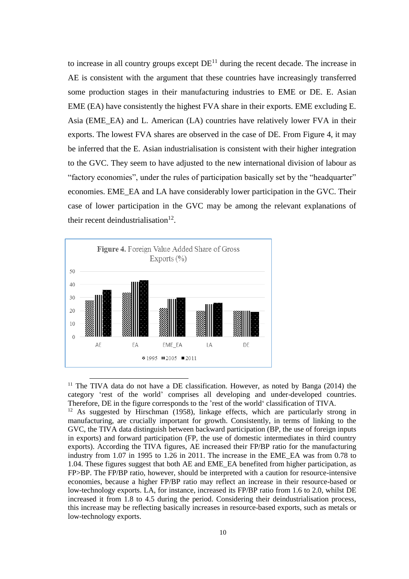to increase in all country groups except  $DE<sup>11</sup>$  during the recent decade. The increase in AE is consistent with the argument that these countries have increasingly transferred some production stages in their manufacturing industries to EME or DE. E. Asian EME (EA) have consistently the highest FVA share in their exports. EME excluding E. Asia (EME\_EA) and L. American (LA) countries have relatively lower FVA in their exports. The lowest FVA shares are observed in the case of DE. From Figure 4, it may be inferred that the E. Asian industrialisation is consistent with their higher integration to the GVC. They seem to have adjusted to the new international division of labour as "factory economies", under the rules of participation basically set by the "headquarter" economies. EME\_EA and LA have considerably lower participation in the GVC. Their case of lower participation in the GVC may be among the relevant explanations of their recent deindustrialisation<sup>12</sup>.



<sup>11</sup> The TIVA data do not have a DE classification. However, as noted by Banga (2014) the category 'rest of the world' comprises all developing and under-developed countries. Therefore, DE in the figure corresponds to the 'rest of the world' classification of TIVA.

<sup>12</sup> As suggested by Hirschman (1958), linkage effects, which are particularly strong in manufacturing, are crucially important for growth. Consistently, in terms of linking to the GVC, the TIVA data distinguish between backward participation (BP, the use of foreign inputs in exports) and forward participation (FP, the use of domestic intermediates in third country exports). According the TIVA figures, AE increased their FP/BP ratio for the manufacturing industry from 1.07 in 1995 to 1.26 in 2011. The increase in the EME\_EA was from 0.78 to 1.04. These figures suggest that both AE and EME\_EA benefited from higher participation, as FP>BP. The FP/BP ratio, however, should be interpreted with a caution for resource-intensive economies, because a higher FP/BP ratio may reflect an increase in their resource-based or low-technology exports. LA, for instance, increased its FP/BP ratio from 1.6 to 2.0, whilst DE increased it from 1.8 to 4.5 during the period. Considering their deindustrialisation process, this increase may be reflecting basically increases in resource-based exports, such as metals or low-technology exports.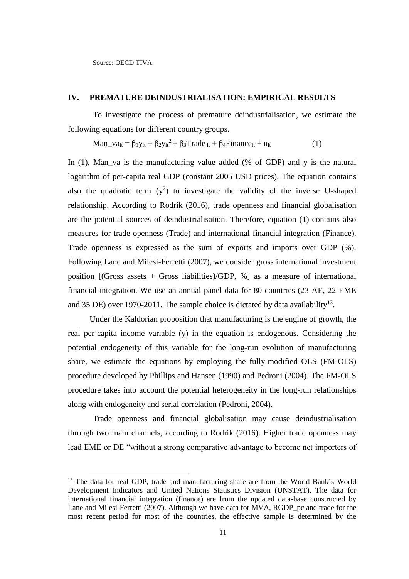Source: OECD TIVA.

-

## **IV. PREMATURE DEINDUSTRIALISATION: EMPIRICAL RESULTS**

To investigate the process of premature deindustrialisation, we estimate the following equations for different country groups.

Man\_va<sub>it</sub> =  $\beta_1 y_{it} + \beta_2 y_{it}^2 + \beta_3 \text{Trade}_{it} + \beta_4 \text{Finance}_{it} + u_{it}$  (1)

In  $(1)$ , Man va is the manufacturing value added (% of GDP) and y is the natural logarithm of per-capita real GDP (constant 2005 USD prices). The equation contains also the quadratic term  $(y^2)$  to investigate the validity of the inverse U-shaped relationship. According to Rodrik (2016), trade openness and financial globalisation are the potential sources of deindustrialisation. Therefore, equation (1) contains also measures for trade openness (Trade) and international financial integration (Finance). Trade openness is expressed as the sum of exports and imports over GDP (%). Following Lane and Milesi-Ferretti (2007), we consider gross international investment position [(Gross assets + Gross liabilities)/GDP, %] as a measure of international financial integration. We use an annual panel data for 80 countries (23 AE, 22 EME and 35 DE) over 1970-2011. The sample choice is dictated by data availability<sup>13</sup>.

Under the Kaldorian proposition that manufacturing is the engine of growth, the real per-capita income variable (y) in the equation is endogenous. Considering the potential endogeneity of this variable for the long-run evolution of manufacturing share, we estimate the equations by employing the fully-modified OLS (FM-OLS) procedure developed by Phillips and Hansen (1990) and Pedroni (2004). The FM-OLS procedure takes into account the potential heterogeneity in the long-run relationships along with endogeneity and serial correlation (Pedroni, 2004).

Trade openness and financial globalisation may cause deindustrialisation through two main channels, according to Rodrik (2016). Higher trade openness may lead EME or DE "without a strong comparative advantage to become net importers of

<sup>&</sup>lt;sup>13</sup> The data for real GDP, trade and manufacturing share are from the World Bank's World Development Indicators and United Nations Statistics Division (UNSTAT). The data for international financial integration (finance) are from the updated data-base constructed by Lane and Milesi-Ferretti (2007). Although we have data for MVA, RGDP pc and trade for the most recent period for most of the countries, the effective sample is determined by the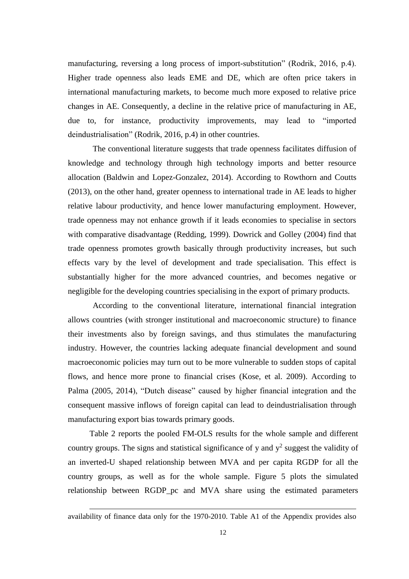manufacturing, reversing a long process of import-substitution" (Rodrik, 2016, p.4). Higher trade openness also leads EME and DE, which are often price takers in international manufacturing markets, to become much more exposed to relative price changes in AE. Consequently, a decline in the relative price of manufacturing in AE, due to, for instance, productivity improvements, may lead to "imported deindustrialisation" (Rodrik, 2016, p.4) in other countries.

The conventional literature suggests that trade openness facilitates diffusion of knowledge and technology through high technology imports and better resource allocation (Baldwin and Lopez-Gonzalez, 2014). According to Rowthorn and Coutts (2013), on the other hand, greater openness to international trade in AE leads to higher relative labour productivity, and hence lower manufacturing employment. However, trade openness may not enhance growth if it leads economies to specialise in sectors with comparative disadvantage (Redding, 1999). Dowrick and Golley (2004) find that trade openness promotes growth basically through productivity increases, but such effects vary by the level of development and trade specialisation. This effect is substantially higher for the more advanced countries, and becomes negative or negligible for the developing countries specialising in the export of primary products.

According to the conventional literature, international financial integration allows countries (with stronger institutional and macroeconomic structure) to finance their investments also by foreign savings, and thus stimulates the manufacturing industry. However, the countries lacking adequate financial development and sound macroeconomic policies may turn out to be more vulnerable to sudden stops of capital flows, and hence more prone to financial crises (Kose, et al. 2009). According to Palma (2005, 2014), "Dutch disease" caused by higher financial integration and the consequent massive inflows of foreign capital can lead to deindustrialisation through manufacturing export bias towards primary goods.

Table 2 reports the pooled FM-OLS results for the whole sample and different country groups. The signs and statistical significance of y and  $y^2$  suggest the validity of an inverted-U shaped relationship between MVA and per capita RGDP for all the country groups, as well as for the whole sample. Figure 5 plots the simulated relationship between RGDP\_pc and MVA share using the estimated parameters

availability of finance data only for the 1970-2010. Table A1 of the Appendix provides also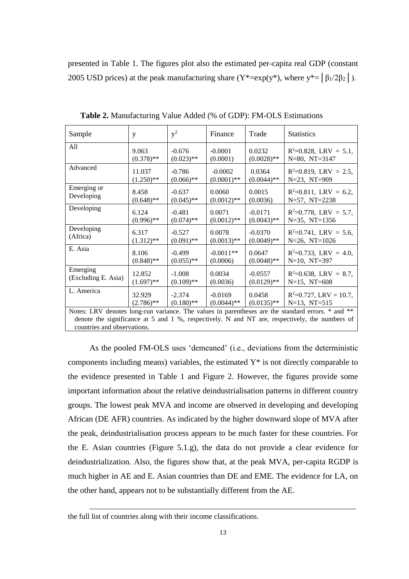presented in Table 1. The figures plot also the estimated per-capita real GDP (constant 2005 USD prices) at the peak manufacturing share ( $Y^* = \exp(y^*)$ , where  $y^* = \left[\beta_1/2\beta_2\right]$ ).

| Sample                                                                                            | y            | $y^2$        | Finance       | Trade         | <b>Statistics</b>         |  |
|---------------------------------------------------------------------------------------------------|--------------|--------------|---------------|---------------|---------------------------|--|
| All                                                                                               | 9.063        | $-0.676$     | $-0.0001$     | 0.0232        | $R^2=0.828$ , LRV = 5.1,  |  |
|                                                                                                   | $(0.378)$ ** | $(0.023)$ ** | (0.0001)      | $(0.0028)$ ** | $N=80$ , $NT=3147$        |  |
| Advanced                                                                                          | 11.037       | $-0.786$     | $-0.0002$     | 0.0364        | $R^2=0.819$ , LRV = 2.5,  |  |
|                                                                                                   | $(1.250)$ ** | $(0.066)$ ** | $(0.0001)$ ** | $(0.0044)$ ** | $N=23$ , $NT=909$         |  |
| Emerging or                                                                                       | 8.458        | $-0.637$     | 0.0060        | 0.0015        | $R^2=0.811$ , LRV = 6.2,  |  |
| Developing                                                                                        | $(0.648)$ ** | $(0.045)$ ** | $(0.0012)$ ** | (0.0036)      | N=57, NT=2238             |  |
| Developing                                                                                        | 6.124        | $-0.481$     | 0.0071        | $-0.0171$     | $R^2=0.778$ , LRV = 5.7,  |  |
|                                                                                                   | $(0.996)$ ** | $(0.074)$ ** | $(0.0012)$ ** | $(0.0043)$ ** | $N=35$ , $NT=1356$        |  |
| Developing                                                                                        | 6.317        | $-0.527$     | 0.0078        | $-0.0370$     | $R^2=0.741$ , LRV = 5.6,  |  |
| (Africa)                                                                                          | $(1.312)$ ** | $(0.091)$ ** | $(0.0013)$ ** | $(0.0049)$ ** | $N=26$ , $NT=1026$        |  |
| E. Asia                                                                                           | 8.106        | $-0.499$     | $-0.0011**$   | 0.0647        | $R^2=0.733$ , LRV = 4.0,  |  |
|                                                                                                   | $(0.848)$ ** | $(0.055)$ ** | (0.0006)      | $(0.0048)$ ** | $N=10$ , $NT=397$         |  |
| Emerging                                                                                          | 12.852       | $-1.008$     | 0.0034        | $-0.0557$     | $R^2=0.638$ , LRV = 8.7,  |  |
| (Excluding E. Asia)                                                                               | $(1.697)$ ** | $(0.109)$ ** | (0.0036)      | $(0.0129)$ ** | $N=15$ , $NT=608$         |  |
| L. America                                                                                        | 32.929       | $-2.374$     | $-0.0169$     | 0.0458        | $R^2=0.727$ , LRV = 10.7, |  |
|                                                                                                   | $(2.786)$ ** | $(0.180)$ ** | $(0.0044)$ ** | $(0.0135)$ ** | $N=13$ , $NT=515$         |  |
| Notes: LRV denotes long-run variance. The values in parentheses are the standard errors. * and ** |              |              |               |               |                           |  |
| denote the significance at 5 and 1 %, respectively. N and NT are, respectively, the numbers of    |              |              |               |               |                           |  |
| countries and observations.                                                                       |              |              |               |               |                           |  |

**Table 2.** Manufacturing Value Added (% of GDP): FM-OLS Estimations

As the pooled FM-OLS uses 'demeaned' (i.e., deviations from the deterministic components including means) variables, the estimated  $Y^*$  is not directly comparable to the evidence presented in Table 1 and Figure 2. However, the figures provide some important information about the relative deindustrialisation patterns in different country groups. The lowest peak MVA and income are observed in developing and developing African (DE AFR) countries. As indicated by the higher downward slope of MVA after the peak, deindustrialisation process appears to be much faster for these countries. For the E. Asian countries (Figure 5.1.g), the data do not provide a clear evidence for deindustrialization. Also, the figures show that, at the peak MVA, per-capita RGDP is much higher in AE and E. Asian countries than DE and EME. The evidence for LA, on the other hand, appears not to be substantially different from the AE.

the full list of countries along with their income classifications.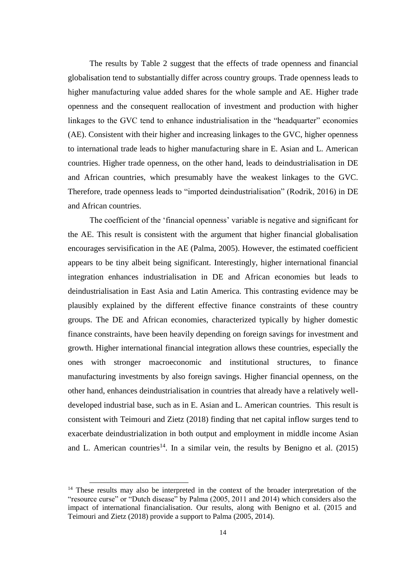The results by Table 2 suggest that the effects of trade openness and financial globalisation tend to substantially differ across country groups. Trade openness leads to higher manufacturing value added shares for the whole sample and AE. Higher trade openness and the consequent reallocation of investment and production with higher linkages to the GVC tend to enhance industrialisation in the "headquarter" economies (AE). Consistent with their higher and increasing linkages to the GVC, higher openness to international trade leads to higher manufacturing share in E. Asian and L. American countries. Higher trade openness, on the other hand, leads to deindustrialisation in DE and African countries, which presumably have the weakest linkages to the GVC. Therefore, trade openness leads to "imported deindustrialisation" (Rodrik, 2016) in DE and African countries.

The coefficient of the 'financial openness' variable is negative and significant for the AE. This result is consistent with the argument that higher financial globalisation encourages servisification in the AE (Palma, 2005). However, the estimated coefficient appears to be tiny albeit being significant. Interestingly, higher international financial integration enhances industrialisation in DE and African economies but leads to deindustrialisation in East Asia and Latin America. This contrasting evidence may be plausibly explained by the different effective finance constraints of these country groups. The DE and African economies, characterized typically by higher domestic finance constraints, have been heavily depending on foreign savings for investment and growth. Higher international financial integration allows these countries, especially the ones with stronger macroeconomic and institutional structures, to finance manufacturing investments by also foreign savings. Higher financial openness, on the other hand, enhances deindustrialisation in countries that already have a relatively welldeveloped industrial base, such as in E. Asian and L. American countries. This result is consistent with Teimouri and Zietz (2018) finding that net capital inflow surges tend to exacerbate deindustrialization in both output and employment in middle income Asian and L. American countries<sup>14</sup>. In a similar vein, the results by Benigno et al.  $(2015)$ 

1

<sup>&</sup>lt;sup>14</sup> These results may also be interpreted in the context of the broader interpretation of the "resource curse" or "Dutch disease" by Palma (2005, 2011 and 2014) which considers also the impact of international financialisation. Our results, along with Benigno et al. (2015 and Teimouri and Zietz (2018) provide a support to Palma (2005, 2014).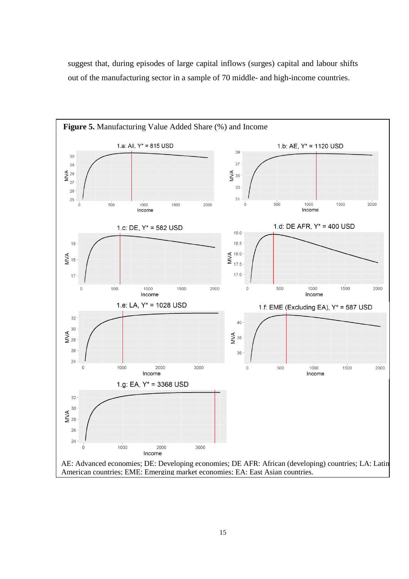suggest that, during episodes of large capital inflows (surges) capital and labour shifts out of the manufacturing sector in a sample of 70 middle- and high-income countries.

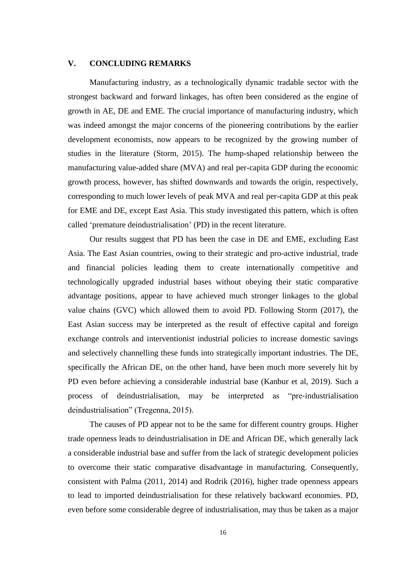## **V. CONCLUDING REMARKS**

Manufacturing industry, as a technologically dynamic tradable sector with the strongest backward and forward linkages, has often been considered as the engine of growth in AE, DE and EME. The crucial importance of manufacturing industry, which was indeed amongst the major concerns of the pioneering contributions by the earlier development economists, now appears to be recognized by the growing number of studies in the literature (Storm, 2015). The hump-shaped relationship between the manufacturing value-added share (MVA) and real per-capita GDP during the economic growth process, however, has shifted downwards and towards the origin, respectively, corresponding to much lower levels of peak MVA and real per-capita GDP at this peak for EME and DE, except East Asia. This study investigated this pattern, which is often called 'premature deindustrialisation' (PD) in the recent literature.

Our results suggest that PD has been the case in DE and EME, excluding East Asia. The East Asian countries, owing to their strategic and pro-active industrial, trade and financial policies leading them to create internationally competitive and technologically upgraded industrial bases without obeying their static comparative advantage positions, appear to have achieved much stronger linkages to the global value chains (GVC) which allowed them to avoid PD. Following Storm (2017), the East Asian success may be interpreted as the result of effective capital and foreign exchange controls and interventionist industrial policies to increase domestic savings and selectively channelling these funds into strategically important industries. The DE, specifically the African DE, on the other hand, have been much more severely hit by PD even before achieving a considerable industrial base (Kanbur et al, 2019). Such a process of deindustrialisation, may be interpreted as "pre‐industrialisation deindustrialisation" (Tregenna, 2015).

The causes of PD appear not to be the same for different country groups. Higher trade openness leads to deindustrialisation in DE and African DE, which generally lack a considerable industrial base and suffer from the lack of strategic development policies to overcome their static comparative disadvantage in manufacturing. Consequently, consistent with Palma (2011, 2014) and Rodrik (2016), higher trade openness appears to lead to imported deindustrialisation for these relatively backward economies. PD, even before some considerable degree of industrialisation, may thus be taken as a major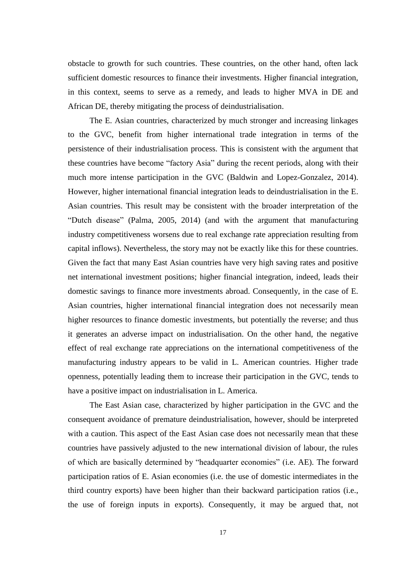obstacle to growth for such countries. These countries, on the other hand, often lack sufficient domestic resources to finance their investments. Higher financial integration, in this context, seems to serve as a remedy, and leads to higher MVA in DE and African DE, thereby mitigating the process of deindustrialisation.

The E. Asian countries, characterized by much stronger and increasing linkages to the GVC, benefit from higher international trade integration in terms of the persistence of their industrialisation process. This is consistent with the argument that these countries have become "factory Asia" during the recent periods, along with their much more intense participation in the GVC (Baldwin and Lopez-Gonzalez, 2014). However, higher international financial integration leads to deindustrialisation in the E. Asian countries. This result may be consistent with the broader interpretation of the "Dutch disease" (Palma, 2005, 2014) (and with the argument that manufacturing industry competitiveness worsens due to real exchange rate appreciation resulting from capital inflows). Nevertheless, the story may not be exactly like this for these countries. Given the fact that many East Asian countries have very high saving rates and positive net international investment positions; higher financial integration, indeed, leads their domestic savings to finance more investments abroad. Consequently, in the case of E. Asian countries, higher international financial integration does not necessarily mean higher resources to finance domestic investments, but potentially the reverse; and thus it generates an adverse impact on industrialisation. On the other hand, the negative effect of real exchange rate appreciations on the international competitiveness of the manufacturing industry appears to be valid in L. American countries. Higher trade openness, potentially leading them to increase their participation in the GVC, tends to have a positive impact on industrialisation in L. America.

The East Asian case, characterized by higher participation in the GVC and the consequent avoidance of premature deindustrialisation, however, should be interpreted with a caution. This aspect of the East Asian case does not necessarily mean that these countries have passively adjusted to the new international division of labour, the rules of which are basically determined by "headquarter economies" (i.e. AE). The forward participation ratios of E. Asian economies (i.e. the use of domestic intermediates in the third country exports) have been higher than their backward participation ratios (i.e., the use of foreign inputs in exports). Consequently, it may be argued that, not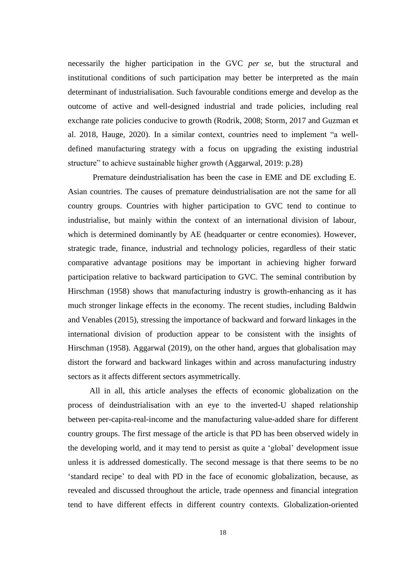necessarily the higher participation in the GVC *per se*, but the structural and institutional conditions of such participation may better be interpreted as the main determinant of industrialisation. Such favourable conditions emerge and develop as the outcome of active and well-designed industrial and trade policies, including real exchange rate policies conducive to growth (Rodrik, 2008; Storm, 2017 and Guzman et al. 2018, Hauge, 2020). In a similar context, countries need to implement "a welldefined manufacturing strategy with a focus on upgrading the existing industrial structure" to achieve sustainable higher growth (Aggarwal, 2019: p.28)

Premature deindustrialisation has been the case in EME and DE excluding E. Asian countries. The causes of premature deindustrialisation are not the same for all country groups. Countries with higher participation to GVC tend to continue to industrialise, but mainly within the context of an international division of labour, which is determined dominantly by AE (headquarter or centre economies). However, strategic trade, finance, industrial and technology policies, regardless of their static comparative advantage positions may be important in achieving higher forward participation relative to backward participation to GVC. The seminal contribution by [Hirschman \(1](http://www.sciencedirect.com/science/article/pii/S1090944315000125#bib7)958) shows that manufacturing industry is growth-enhancing as it has much stronger linkage effects in the economy. The recent studies, including [Baldwin](http://www.sciencedirect.com/science/article/pii/S1090944315000125) and [Venables](http://www.sciencedirect.com/science/article/pii/S1090944315000125) (2015), stressing the importance of backward and forward linkages in the international division of production appear to be consistent with the insights of [Hirschman \(1](http://www.sciencedirect.com/science/article/pii/S1090944315000125#bib7)958). Aggarwal (2019), on the other hand, argues that globalisation may distort the forward and backward linkages within and across manufacturing industry sectors as it affects different sectors asymmetrically.

All in all, this article analyses the effects of economic globalization on the process of deindustrialisation with an eye to the inverted-U shaped relationship between per-capita-real-income and the manufacturing value-added share for different country groups. The first message of the article is that PD has been observed widely in the developing world, and it may tend to persist as quite a 'global' development issue unless it is addressed domestically. The second message is that there seems to be no 'standard recipe' to deal with PD in the face of economic globalization, because, as revealed and discussed throughout the article, trade openness and financial integration tend to have different effects in different country contexts. Globalization-oriented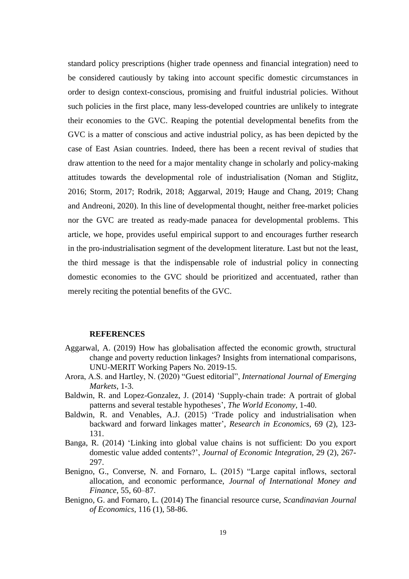standard policy prescriptions (higher trade openness and financial integration) need to be considered cautiously by taking into account specific domestic circumstances in order to design context-conscious, promising and fruitful industrial policies. Without such policies in the first place, many less-developed countries are unlikely to integrate their economies to the GVC. Reaping the potential developmental benefits from the GVC is a matter of conscious and active industrial policy, as has been depicted by the case of East Asian countries. Indeed, there has been a recent revival of studies that draw attention to the need for a major mentality change in scholarly and policy-making attitudes towards the developmental role of industrialisation (Noman and Stiglitz, 2016; Storm, 2017; Rodrik, 2018; Aggarwal, 2019; Hauge and Chang, 2019; Chang and Andreoni, 2020). In this line of developmental thought, neither free-market policies nor the GVC are treated as ready-made panacea for developmental problems. This article, we hope, provides useful empirical support to and encourages further research in the pro-industrialisation segment of the development literature. Last but not the least, the third message is that the indispensable role of industrial policy in connecting domestic economies to the GVC should be prioritized and accentuated, rather than merely reciting the potential benefits of the GVC.

#### **REFERENCES**

- Aggarwal, A. (2019) How has globalisation affected the economic growth, structural change and poverty reduction linkages? Insights from international comparisons, UNU-MERIT Working Papers No. 2019-15.
- Arora, A.S. and Hartley, N. (2020) "Guest editorial", *International Journal of Emerging Markets*, 1-3.
- Baldwin, R. and Lopez-Gonzalez, J. (2014) 'Supply-chain trade: A portrait of global patterns and several testable hypotheses', *The World Economy*, 1-40.
- Baldwin, R. and Venables, A.J. (2015) 'Trade policy and industrialisation when backward and forward linkages matter', *[Research in Economics](http://www.sciencedirect.com/science/journal/10909443)*, 69 (2), 123- 131.
- Banga, R. (2014) 'Linking into global value chains is not sufficient: Do you export domestic value added contents?', *Journal of Economic Integration*, 29 (2), 267- 297.
- Benigno, G., Converse, N. and Fornaro, L. (2015) "Large capital inflows, sectoral allocation, and economic performance, *Journal of International Money and Finance*, 55, 60–87.
- Benigno, G. and Fornaro, L. (2014) The financial resource curse, *Scandinavian Journal of Economics*, 116 (1), 58-86.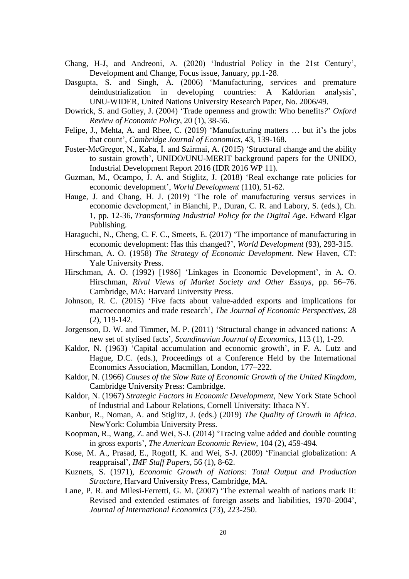- Chang, H-J, and Andreoni, A. (2020) 'Industrial Policy in the 21st Century', Development and Change, Focus issue, January, pp.1-28.
- Dasgupta, S. and Singh, A. (2006) 'Manufacturing, services and premature deindustrialization in developing countries: A Kaldorian analysis', UNU‐WIDER, United Nations University Research Paper, No. 2006/49.
- Dowrick, S. and Golley, J. (2004) 'Trade openness and growth: Who benefits*?*' *Oxford Review of Economic Policy*, 20 (1), 38-56.
- Felipe, J., Mehta, A. and Rhee, C. (2019) 'Manufacturing matters … but it's the jobs that count', *Cambridge Journal of Economics*, 43, 139-168.
- Foster-McGregor, N., Kaba, İ. and Szirmai, A. (2015) 'Structural change and the ability to sustain growth', UNIDO/UNU-MERIT background papers for the UNIDO, Industrial Development Report 2016 (IDR 2016 WP 11).
- Guzman, M., Ocampo, J. A. and Stiglitz, J. (2018) 'Real exchange rate policies for economic development', *World Development* (110), 51-62.
- Hauge, J. and Chang, H. J. (2019) 'The role of manufacturing versus services in economic development,' in Bianchi, P., Duran, C. R. and Labory, S. (eds.), Ch. 1, pp. 12-36, *Transforming Industrial Policy for the Digital Age*. Edward Elgar Publishing.
- Haraguchi, N., Cheng, C. F. C., Smeets, E. (2017) 'The importance of manufacturing in economic development: Has this changed?', *World Development* (93), 293-315.
- Hirschman, A. O. (1958) *The Strategy of Economic Development*. New Haven, CT: Yale University Press.
- Hirschman, A. O. (1992) [1986] 'Linkages in Economic Development', in A. O. Hirschman, *Rival Views of Market Society and Other Essays*, pp. 56–76. Cambridge, MA: Harvard University Press.
- Johnson, R. C. (2015) 'Five facts about value-added exports and implications for macroeconomics and trade research', *The Journal of Economic Perspectives*, 28 (2), 119-142.
- Jorgenson, D. W. and Timmer, M. P. (2011) 'Structural change in advanced nations: A new set of stylised facts', *Scandinavian Journal of Economics*, 113 (1), 1-29.
- Kaldor, N. (1963) 'Capital accumulation and economic growth', in F. A. Lutz and Hague, D.C. (eds.), Proceedings of a Conference Held by the International Economics Association, Macmillan, London, 177–222.
- Kaldor, N. (1966) *Causes of the Slow Rate of Economic Growth of the United Kingdom*, Cambridge University Press: Cambridge.
- Kaldor, N. (1967) *Strategic Factors in Economic Development*, New York State School of Industrial and Labour Relations, Cornell University: Ithaca NY.
- Kanbur, R., Noman, A. and Stiglitz, J. (eds.) (2019) *The Quality of Growth in Africa*. NewYork: Columbia University Press.
- Koopman, R., Wang, Z. and Wei, S-J. (2014) 'Tracing value added and double counting in gross exports', *The American Economic Review*, 104 (2), 459-494.
- Kose, M. A., Prasad, E., Rogoff, K. and Wei, S-J. (2009) 'Financial globalization: A reappraisal', *IMF Staff Papers*, 56 (1), 8-62.
- Kuznets, S. (1971), *Economic Growth of Nations: Total Output and Production Structure*, Harvard University Press, Cambridge, MA.
- Lane, P. R. and Milesi-Ferretti, G. M. (2007) ['The external wealth of nations mark II:](http://www.sciencedirect.com/science?_ob=ArticleURL&_udi=B6V6D-4NJ7WGN-1&_user=10&_coverDate=11%2F30%2F2007&_rdoc=1&_fmt=high&_orig=browse&_srch=doc-info%28%23toc%235812%232007%23999269997%23673025%23FLA%23display%23Volume%29&_cdi=5812&_sort=d&_docanchor=&_ct=12&_acct=C000050221&_version=1&_urlVersion=0&_userid=10&md5=f0246ea81843e9f6f495241e818fca86)  [Revised and extended estimates of foreign assets and liabilities, 1970–2004'](http://www.sciencedirect.com/science?_ob=ArticleURL&_udi=B6V6D-4NJ7WGN-1&_user=10&_coverDate=11%2F30%2F2007&_rdoc=1&_fmt=high&_orig=browse&_srch=doc-info%28%23toc%235812%232007%23999269997%23673025%23FLA%23display%23Volume%29&_cdi=5812&_sort=d&_docanchor=&_ct=12&_acct=C000050221&_version=1&_urlVersion=0&_userid=10&md5=f0246ea81843e9f6f495241e818fca86), *Journal of International Economics* (73), 223-250.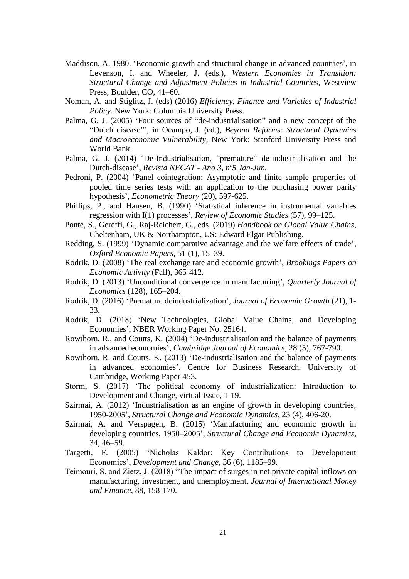- Maddison, A. 1980. 'Economic growth and structural change in advanced countries', in Levenson, I. and Wheeler, J. (eds.), *Western Economies in Transition: Structural Change and Adjustment Policies in Industrial Countries*, Westview Press, Boulder, CO, 41–60.
- Noman, A. and Stiglitz, J. (eds) (2016) *Efficiency, Finance and Varieties of Industrial Policy.* New York: Columbia University Press.
- Palma, G. J. (2005) 'Four sources of "de-industrialisation" and a new concept of the "Dutch disease"', in Ocampo, J. (ed.), *Beyond Reforms: Structural Dynamics and Macroeconomic Vulnerability*, New York: Stanford University Press and World Bank.
- Palma, G. J. (2014) 'De-Industrialisation, "premature" de-industrialisation and the Dutch-disease', *Revista NECAT - Ano 3, nº5 Jan-Jun.*
- Pedroni, P. (2004) 'Panel cointegration: Asymptotic and finite sample properties of pooled time series tests with an application to the purchasing power parity hypothesis', *Econometric Theory* (20), 597-625.
- Phillips, P., and Hansen, B. (1990) 'Statistical inference in instrumental variables regression with I(1) processes', *Review of Economic Studies* (57), 99–125.
- Ponte, S., Gereffi, G., Raj-Reichert, G., eds. (2019) *Handbook on Global Value Chains*, Cheltenham, UK & Northampton, US: Edward Elgar Publishing.
- Redding, S. (1999) 'Dynamic comparative advantage and the welfare effects of trade', *Oxford Economic Papers*, 51 (1), 15–39.
- Rodrik, D. (2008) 'The real exchange rate and economic growth', *Brookings Papers on Economic Activity* (Fall), 365-412.
- Rodrik, D. (2013) 'Unconditional convergence in manufacturing', *Quarterly Journal of Economics* (128), 165–204.
- Rodrik, D. (2016) 'Premature deindustrialization', *Journal of Economic Growth* (21), 1- 33.
- Rodrik, D. (2018) 'New Technologies, Global Value Chains, and Developing Economies', NBER Working Paper No. 25164.
- Rowthorn, R., and Coutts, K. (2004) 'De-industrialisation and the balance of payments in advanced economies', *Cambridge Journal of Economics*, 28 (5), 767-790.
- Rowthorn, R. and Coutts, K. (2013) 'De-industrialisation and the balance of payments in advanced economies', Centre for Business Research, University of Cambridge, Working Paper 453.
- Storm, S. (2017) 'The political economy of industrialization: Introduction to Development and Change, virtual Issue, 1-19.
- Szirmai, A. (2012) 'Industrialisation as an engine of growth in developing countries, 1950-2005', *Structural Change and Economic Dynamics*, 23 (4), 406-20.
- Szirmai, A. and Verspagen, B. (2015) 'Manufacturing and economic growth in developing countries, 1950–2005', *Structural Change and Economic Dynamics*, 34, 46–59.
- Targetti, F. (2005) 'Nicholas Kaldor: Key Contributions to Development Economics', *Development and Change*, 36 (6), 1185–99.
- Teimouri, S. and Zietz, J. (2018) "The impact of surges in net private capital inflows on manufacturing, investment, and unemployment, *Journal of International Money and Finance*, 88, 158-170.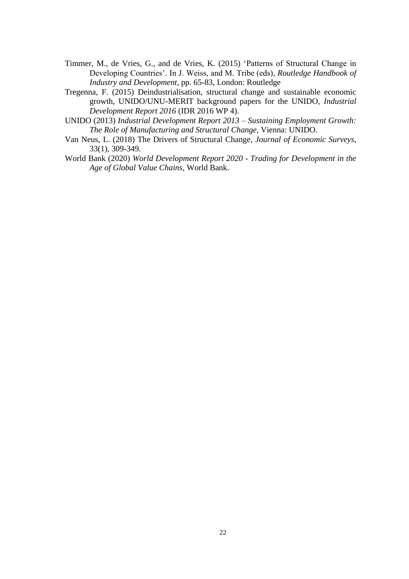- Timmer, M., de Vries, G., and de Vries, K. (2015) 'Patterns of Structural Change in Developing Countries'. In J. Weiss, and M. Tribe (eds), *Routledge Handbook of Industry and Development*, pp. 65-83, London: Routledge
- Tregenna, F. (2015) Deindustrialisation, structural change and sustainable economic growth, UNIDO/UNU-MERIT background papers for the UNIDO, *Industrial Development Report 2016* (IDR 2016 WP 4).
- UNIDO (2013) *Industrial Development Report 2013 – Sustaining Employment Growth: The Role of Manufacturing and Structural Change*, Vienna: UNIDO.
- Van Neus, L. (2018) The Drivers of Structural Change, *Journal of Economic Surveys*, 33(1), 309-349.
- World Bank (2020) *World Development Report 2020 - Trading for Development in the Age of Global Value Chains*, World Bank.